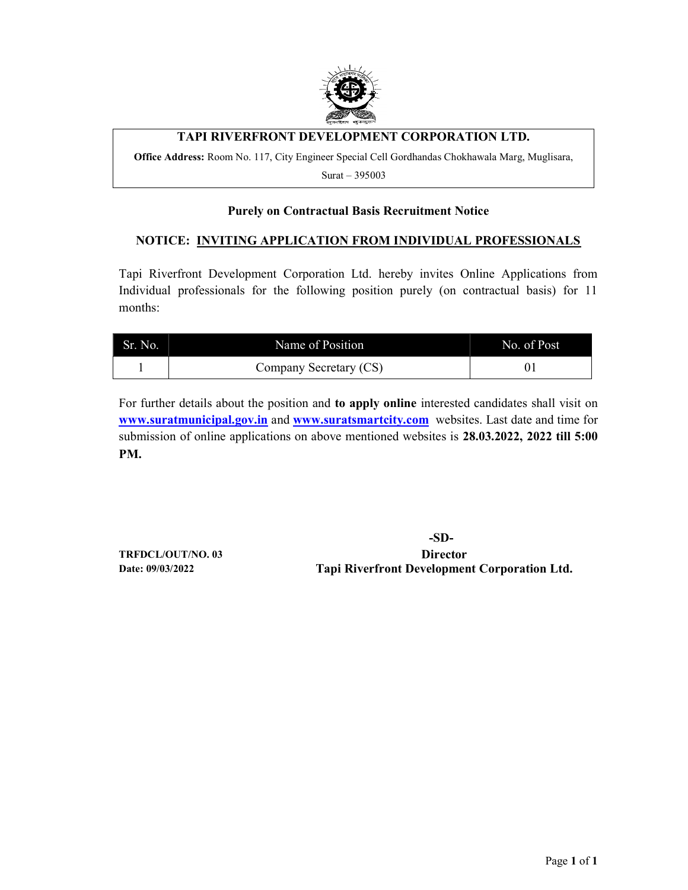

## TAPI RIVERFRONT DEVELOPMENT CORPORATION LTD.

Office Address: Room No. 117, City Engineer Special Cell Gordhandas Chokhawala Marg, Muglisara,

Surat – 395003

#### Purely on Contractual Basis Recruitment Notice

#### NOTICE: INVITING APPLICATION FROM INDIVIDUAL PROFESSIONALS

Tapi Riverfront Development Corporation Ltd. hereby invites Online Applications from Individual professionals for the following position purely (on contractual basis) for 11 months:

| Sr. No. | Name of Position       | No. of Post |
|---------|------------------------|-------------|
|         | Company Secretary (CS) |             |

For further details about the position and to apply online interested candidates shall visit on www.suratmunicipal.gov.in and www.suratsmartcity.com websites. Last date and time for submission of online applications on above mentioned websites is 28.03.2022, 2022 till 5:00 PM.

 -SD-TRFDCL/OUT/NO. 03 Director Date: 09/03/2022 Tapi Riverfront Development Corporation Ltd.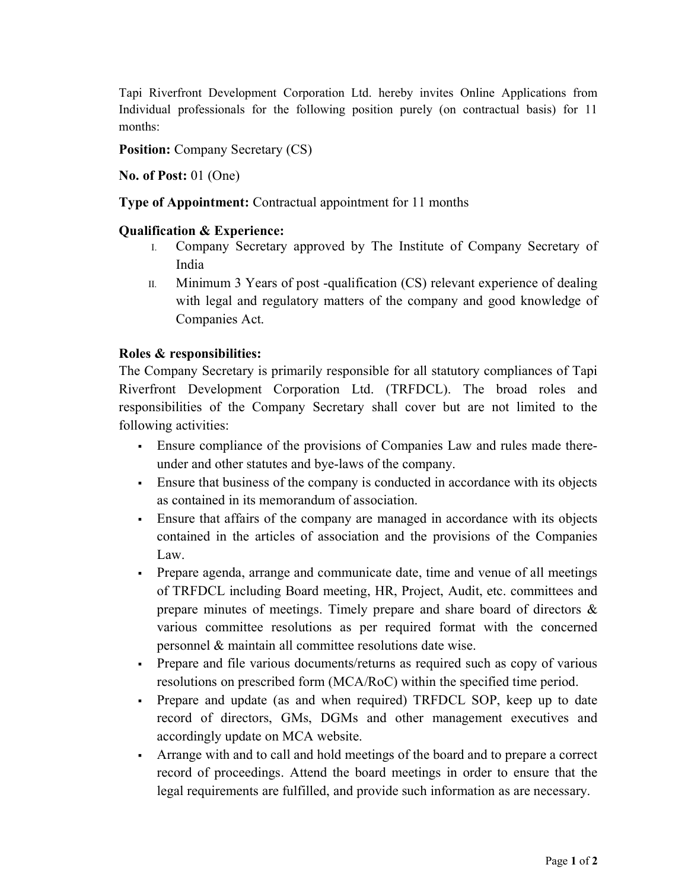Tapi Riverfront Development Corporation Ltd. hereby invites Online Applications from Individual professionals for the following position purely (on contractual basis) for 11 months:

Position: Company Secretary (CS)

No. of Post: 01 (One)

Type of Appointment: Contractual appointment for 11 months

### Qualification & Experience:

- I. Company Secretary approved by The Institute of Company Secretary of India
- II. Minimum 3 Years of post -qualification (CS) relevant experience of dealing with legal and regulatory matters of the company and good knowledge of Companies Act.

### Roles & responsibilities:

The Company Secretary is primarily responsible for all statutory compliances of Tapi Riverfront Development Corporation Ltd. (TRFDCL). The broad roles and responsibilities of the Company Secretary shall cover but are not limited to the following activities:

- Ensure compliance of the provisions of Companies Law and rules made thereunder and other statutes and bye-laws of the company.
- Ensure that business of the company is conducted in accordance with its objects as contained in its memorandum of association.
- Ensure that affairs of the company are managed in accordance with its objects contained in the articles of association and the provisions of the Companies Law.
- Prepare agenda, arrange and communicate date, time and venue of all meetings of TRFDCL including Board meeting, HR, Project, Audit, etc. committees and prepare minutes of meetings. Timely prepare and share board of directors & various committee resolutions as per required format with the concerned personnel & maintain all committee resolutions date wise.
- Prepare and file various documents/returns as required such as copy of various resolutions on prescribed form (MCA/RoC) within the specified time period.
- Prepare and update (as and when required) TRFDCL SOP, keep up to date record of directors, GMs, DGMs and other management executives and accordingly update on MCA website.
- Arrange with and to call and hold meetings of the board and to prepare a correct record of proceedings. Attend the board meetings in order to ensure that the legal requirements are fulfilled, and provide such information as are necessary.